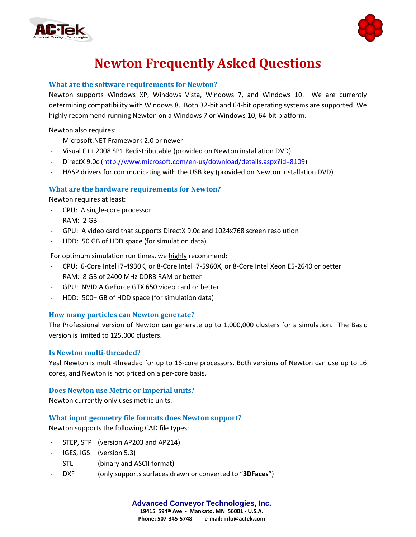



# **Newton Frequently Asked Questions**

## **What are the software requirements for Newton?**

Newton supports Windows XP, Windows Vista, Windows 7, and Windows 10. We are currently determining compatibility with Windows 8. Both 32-bit and 64-bit operating systems are supported. We highly recommend running Newton on a Windows 7 or Windows 10, 64-bit platform.

Newton also requires:

- Microsoft.NET Framework 2.0 or newer
- Visual C++ 2008 SP1 Redistributable (provided on Newton installation DVD)
- DirectX 9.0c [\(http://www.microsoft.com/en-us/download/details.aspx?id=8109\)](http://www.microsoft.com/en-us/download/details.aspx?id=8109)
- HASP drivers for communicating with the USB key (provided on Newton installation DVD)

## **What are the hardware requirements for Newton?**

Newton requires at least:

- CPU: A single-core processor
- **RAM: 2 GB**
- GPU: A video card that supports DirectX 9.0c and 1024x768 screen resolution
- HDD: 50 GB of HDD space (for simulation data)

For optimum simulation run times, we highly recommend:

- CPU: 6-Core Intel i7-4930K, or 8-Core Intel i7-5960X, or 8-Core Intel Xeon E5-2640 or better
- RAM: 8 GB of 2400 MHz DDR3 RAM or better
- GPU: NVIDIA GeForce GTX 650 video card or better
- HDD: 500+ GB of HDD space (for simulation data)

## **How many particles can Newton generate?**

The Professional version of Newton can generate up to 1,000,000 clusters for a simulation. The Basic version is limited to 125,000 clusters.

## **Is Newton multi-threaded?**

Yes! Newton is multi-threaded for up to 16-core processors. Both versions of Newton can use up to 16 cores, and Newton is not priced on a per-core basis.

## **Does Newton use Metric or Imperial units?**

Newton currently only uses metric units.

## **What input geometry file formats does Newton support?**

Newton supports the following CAD file types:

- STEP, STP (version AP203 and AP214)
- IGES, IGS (version 5.3)
- STL (binary and ASCII format)
- DXF (only supports surfaces drawn or converted to "**3DFaces**")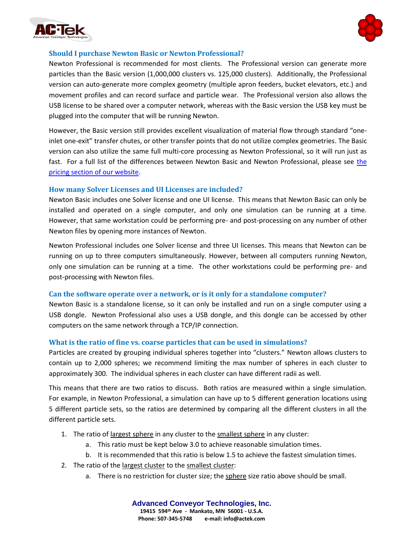



## **Should I purchase Newton Basic or Newton Professional?**

Newton Professional is recommended for most clients. The Professional version can generate more particles than the Basic version (1,000,000 clusters vs. 125,000 clusters). Additionally, the Professional version can auto-generate more complex geometry (multiple apron feeders, bucket elevators, etc.) and movement profiles and can record surface and particle wear. The Professional version also allows the USB license to be shared over a computer network, whereas with the Basic version the USB key must be plugged into the computer that will be running Newton.

However, the Basic version still provides excellent visualization of material flow through standard "oneinlet one-exit" transfer chutes, or other transfer points that do not utilize complex geometries. The Basic version can also utilize the same full multi-core processing as Newton Professional, so it will run just as fast. For a full list of the differences between Newton Basic and Newton Professional, please see [the](http://www.demsoftware.net/software/pricing)  [pricing section of our website.](http://www.demsoftware.net/software/pricing)

#### **How many Solver Licenses and UI Licenses are included?**

Newton Basic includes one Solver license and one UI license. This means that Newton Basic can only be installed and operated on a single computer, and only one simulation can be running at a time. However, that same workstation could be performing pre- and post-processing on any number of other Newton files by opening more instances of Newton.

Newton Professional includes one Solver license and three UI licenses. This means that Newton can be running on up to three computers simultaneously. However, between all computers running Newton, only one simulation can be running at a time. The other workstations could be performing pre- and post-processing with Newton files.

## **Can the software operate over a network, or is it only for a standalone computer?**

Newton Basic is a standalone license, so it can only be installed and run on a single computer using a USB dongle. Newton Professional also uses a USB dongle, and this dongle can be accessed by other computers on the same network through a TCP/IP connection.

## **What is the ratio of fine vs. coarse particles that can be used in simulations?**

Particles are created by grouping individual spheres together into "clusters." Newton allows clusters to contain up to 2,000 spheres; we recommend limiting the max number of spheres in each cluster to approximately 300. The individual spheres in each cluster can have different radii as well.

This means that there are two ratios to discuss. Both ratios are measured within a single simulation. For example, in Newton Professional, a simulation can have up to 5 different generation locations using 5 different particle sets, so the ratios are determined by comparing all the different clusters in all the different particle sets.

- 1. The ratio of largest sphere in any cluster to the smallest sphere in any cluster:
	- a. This ratio must be kept below 3.0 to achieve reasonable simulation times.
	- b. It is recommended that this ratio is below 1.5 to achieve the fastest simulation times.
- 2. The ratio of the largest cluster to the smallest cluster:
	- a. There is no restriction for cluster size; the sphere size ratio above should be small.